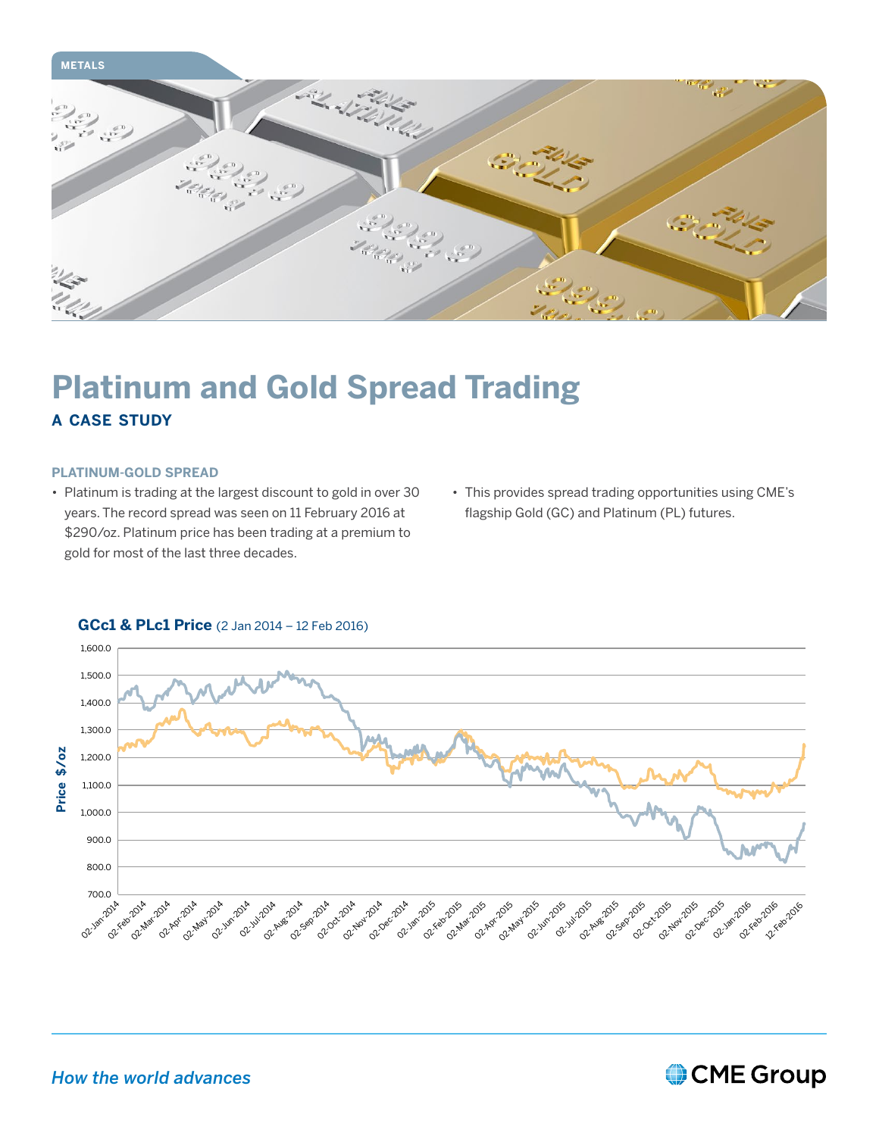

## **Platinum and Gold Spread Trading a case study**

#### **PLATINUM-GOLD SPREAD**

- Platinum is trading at the largest discount to gold in over 30 years. The record spread was seen on 11 February 2016 at \$290/oz. Platinum price has been trading at a premium to gold for most of the last three decades.
- • This provides spread trading opportunities using CME's flagship Gold (GC) and Platinum (PL) futures.



### **GCc1 & PLc1 Price** (2 Jan 2014 – 12 Feb 2016)

## *How the world advances*

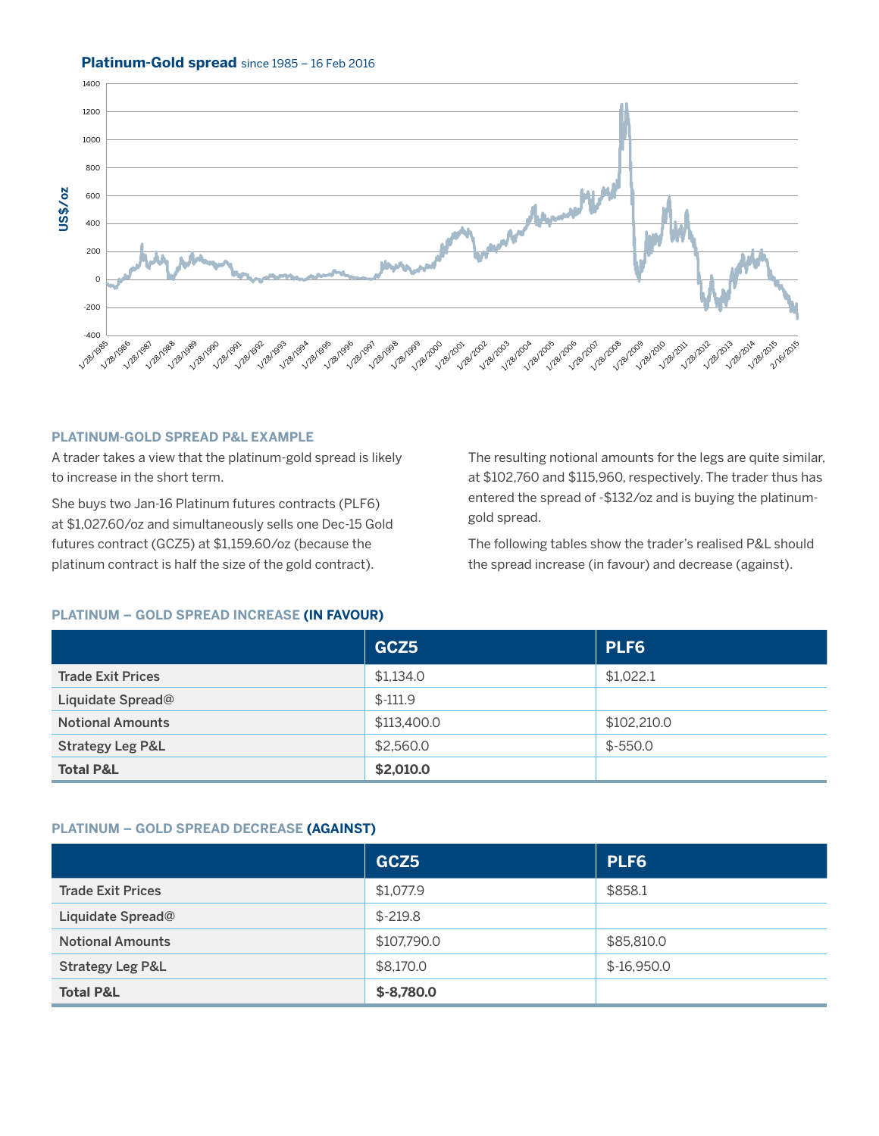#### **Platinum-Gold spread** since 1985 – 16 Feb 2016



#### **PLATINUM-GOLD SPREAD P&L EXAMPLE**

A trader takes a view that the platinum-gold spread is likely to increase in the short term.

She buys two Jan-16 Platinum futures contracts (PLF6) at \$1,027.60/oz and simultaneously sells one Dec-15 Gold futures contract (GCZ5) at \$1,159.60/oz (because the platinum contract is half the size of the gold contract).

The resulting notional amounts for the legs are quite similar, at \$102,760 and \$115,960, respectively. The trader thus has entered the spread of -\$132/oz and is buying the platinumgold spread.

The following tables show the trader's realised P&L should the spread increase (in favour) and decrease (against).

#### **PLATINUM – GOLD SPREAD INCREASE (IN FAVOUR)**

|                             | GCZ5        | PLF6        |
|-----------------------------|-------------|-------------|
| <b>Trade Exit Prices</b>    | \$1,134.0   | \$1.022.1   |
| Liquidate Spread@           | $$ -111.9$  |             |
| <b>Notional Amounts</b>     | \$113,400.0 | \$102,210.0 |
| <b>Strategy Leg P&amp;L</b> | \$2,560.0   | $$ -550.0$  |
| <b>Total P&amp;L</b>        | \$2,010.0   |             |

#### **PLATINUM – GOLD SPREAD DECREASE (AGAINST)**

|                             | GCZ5         | PLF6          |
|-----------------------------|--------------|---------------|
| <b>Trade Exit Prices</b>    | \$1,077.9    | \$858.1       |
| Liquidate Spread@           | $$-219.8$    |               |
| <b>Notional Amounts</b>     | \$107,790.0  | \$85,810.0    |
| <b>Strategy Leg P&amp;L</b> | \$8,170.0    | $$ -16,950.0$ |
| <b>Total P&amp;L</b>        | $$ -8,780.0$ |               |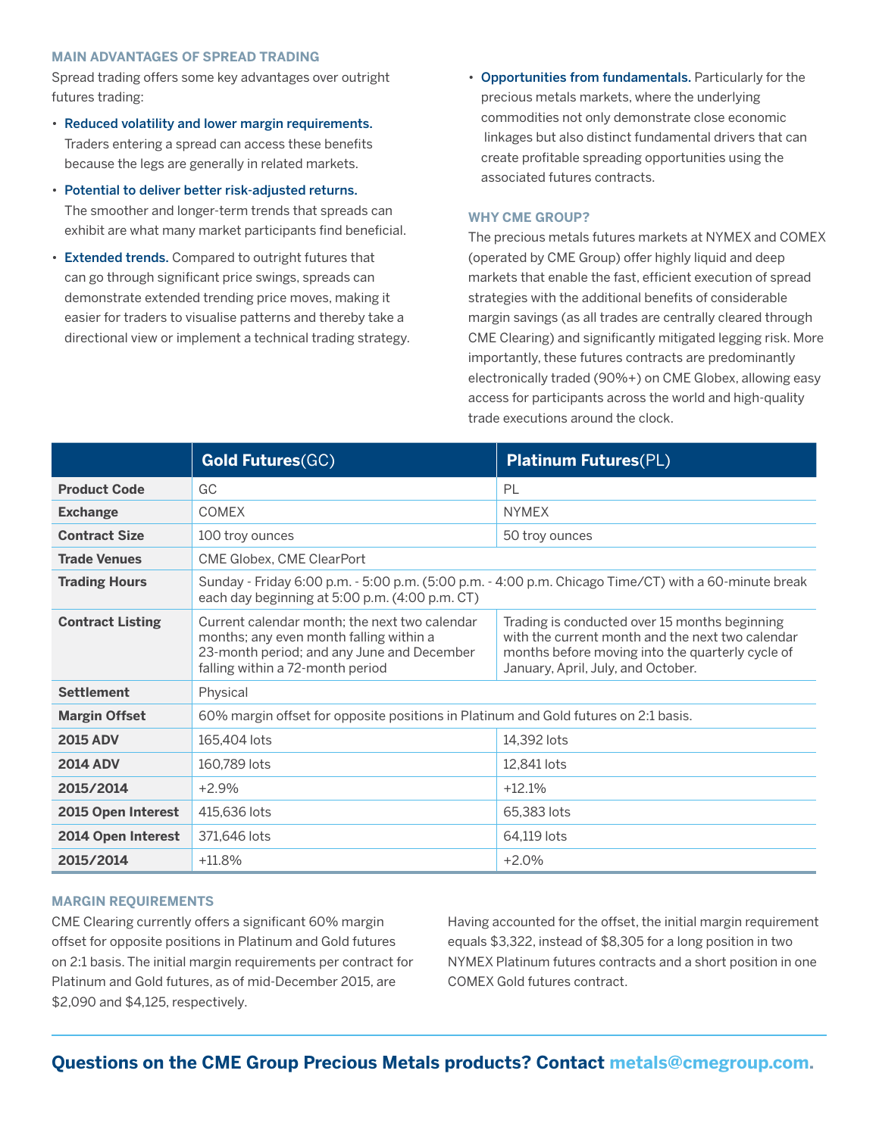#### **MAIN ADVANTAGES OF SPREAD TRADING**

Spread trading offers some key advantages over outright futures trading:

- Reduced volatility and lower margin requirements. Traders entering a spread can access these benefits because the legs are generally in related markets.
- Potential to deliver better risk-adjusted returns. The smoother and longer-term trends that spreads can exhibit are what many market participants find beneficial.
- Extended trends. Compared to outright futures that can go through significant price swings, spreads can demonstrate extended trending price moves, making it easier for traders to visualise patterns and thereby take a directional view or implement a technical trading strategy.
- Opportunities from fundamentals. Particularly for the precious metals markets, where the underlying commodities not only demonstrate close economic linkages but also distinct fundamental drivers that can create profitable spreading opportunities using the associated futures contracts.

#### **WHY CME GROUP?**

The precious metals futures markets at NYMEX and COMEX (operated by CME Group) offer highly liquid and deep markets that enable the fast, efficient execution of spread strategies with the additional benefits of considerable margin savings (as all trades are centrally cleared through CME Clearing) and significantly mitigated legging risk. More importantly, these futures contracts are predominantly electronically traded (90%+) on CME Globex, allowing easy access for participants across the world and high-quality trade executions around the clock.

|                         | <b>Gold Futures(GC)</b>                                                                                                                                                    | <b>Platinum Futures(PL)</b>                                                                                                                                                                 |  |
|-------------------------|----------------------------------------------------------------------------------------------------------------------------------------------------------------------------|---------------------------------------------------------------------------------------------------------------------------------------------------------------------------------------------|--|
| <b>Product Code</b>     | GC                                                                                                                                                                         | PL                                                                                                                                                                                          |  |
| <b>Exchange</b>         | <b>COMEX</b>                                                                                                                                                               | <b>NYMEX</b>                                                                                                                                                                                |  |
| <b>Contract Size</b>    | 100 troy ounces                                                                                                                                                            | 50 troy ounces                                                                                                                                                                              |  |
| <b>Trade Venues</b>     | CME Globex, CME ClearPort                                                                                                                                                  |                                                                                                                                                                                             |  |
| <b>Trading Hours</b>    | Sunday - Friday 6:00 p.m. - 5:00 p.m. (5:00 p.m. - 4:00 p.m. Chicago Time/CT) with a 60-minute break<br>each day beginning at 5:00 p.m. (4:00 p.m. CT)                     |                                                                                                                                                                                             |  |
| <b>Contract Listing</b> | Current calendar month; the next two calendar<br>months; any even month falling within a<br>23-month period; and any June and December<br>falling within a 72-month period | Trading is conducted over 15 months beginning<br>with the current month and the next two calendar<br>months before moving into the quarterly cycle of<br>January, April, July, and October. |  |
| <b>Settlement</b>       | Physical                                                                                                                                                                   |                                                                                                                                                                                             |  |
| <b>Margin Offset</b>    | 60% margin offset for opposite positions in Platinum and Gold futures on 2:1 basis.                                                                                        |                                                                                                                                                                                             |  |
| <b>2015 ADV</b>         | 165,404 lots                                                                                                                                                               | 14,392 lots                                                                                                                                                                                 |  |
| <b>2014 ADV</b>         | 160,789 lots                                                                                                                                                               | 12,841 lots                                                                                                                                                                                 |  |
| 2015/2014               | $+2.9%$                                                                                                                                                                    | $+12.1%$                                                                                                                                                                                    |  |
| 2015 Open Interest      | 415,636 lots                                                                                                                                                               | 65,383 lots                                                                                                                                                                                 |  |
| 2014 Open Interest      | 371,646 lots                                                                                                                                                               | 64,119 lots                                                                                                                                                                                 |  |
| 2015/2014               | $+11.8%$                                                                                                                                                                   | $+2.0%$                                                                                                                                                                                     |  |

#### **MARGIN REQUIREMENTS**

CME Clearing currently offers a significant 60% margin offset for opposite positions in Platinum and Gold futures on 2:1 basis. The initial margin requirements per contract for Platinum and Gold futures, as of mid-December 2015, are \$2,090 and \$4,125, respectively.

Having accounted for the offset, the initial margin requirement equals \$3,322, instead of \$8,305 for a long position in two NYMEX Platinum futures contracts and a short position in one COMEX Gold futures contract.